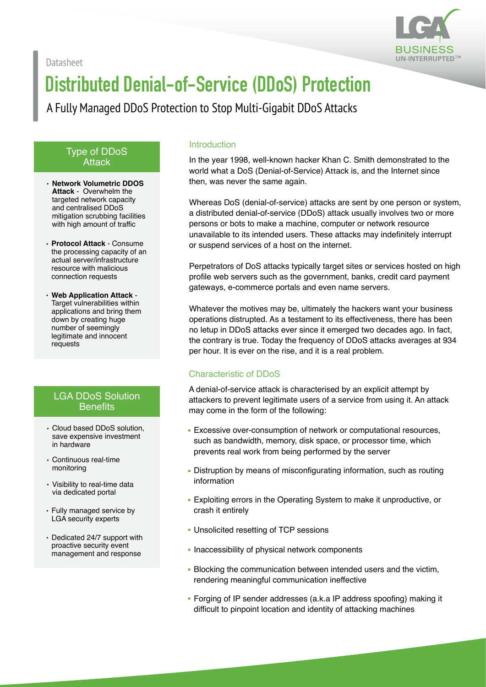Datasheet



# **Distributed Denial-of-Service (DDoS) Protection**

### A Fully Managed DDoS Protection to Stop Multi-Gigabit DDoS Attacks

#### Type of DDoS **Attack**

- **Network Volumetric DDOS Attack** - Overwhelm the targeted network capacity and centralised DDoS mitigation scrubbing facilities with high amount of traffic
- **Protocol Attack** Consume the processing capacity of an actual server/infrastructure resource with malicious connection requests
- **Web Application Attack** Target vulnerabilities within applications and bring them down by creating huge number of seemingly legitimate and innocent requests

#### LGA DDoS Solution **Benefits**

- Cloud based DDoS solution, save expensive investment in hardware
- Continuous real-time monitoring
- Visibility to real-time data via dedicated portal
- Fully managed service by LGA security experts
- Dedicated 24/7 support with proactive security event management and response

#### Introduction

In the year 1998, well-known hacker Khan C. Smith demonstrated to the world what a DoS (Denial-of-Service) Attack is, and the Internet since then, was never the same again.

Whereas DoS (denial-of-service) attacks are sent by one person or system, a distributed denial-of-service (DDoS) attack usually involves two or more persons or bots to make a machine, computer or network resource unavailable to its intended users. These attacks may indefinitely interrupt or suspend services of a host on the internet.

Perpetrators of DoS attacks typically target sites or services hosted on high profile web servers such as the government, banks, credit card payment gateways, e-commerce portals and even name servers.

Whatever the motives may be, ultimately the hackers want your business operations distrupted. As a testament to its effectiveness, there has been no letup in DDoS attacks ever since it emerged two decades ago. In fact, the contrary is true. Today the frequency of DDoS attacks averages at 934 per hour. It is ever on the rise, and it is a real problem.

#### Characteristic of DDoS

A denial-of-service attack is characterised by an explicit attempt by attackers to prevent legitimate users of a service from using it. An attack may come in the form of the following:

- Excessive over-consumption of network or computational resources, such as bandwidth, memory, disk space, or processor time, which prevents real work from being performed by the server
- Distruption by means of misconfigurating information, such as routing information
- Exploiting errors in the Operating System to make it unproductive, or crash it entirely
- Unsolicited resetting of TCP sessions
- Inaccessibility of physical network components
- Blocking the communication between intended users and the victim, rendering meaningful communication ineffective
- Forging of IP sender addresses (a.k.a IP address spoofing) making it difficult to pinpoint location and identity of attacking machines